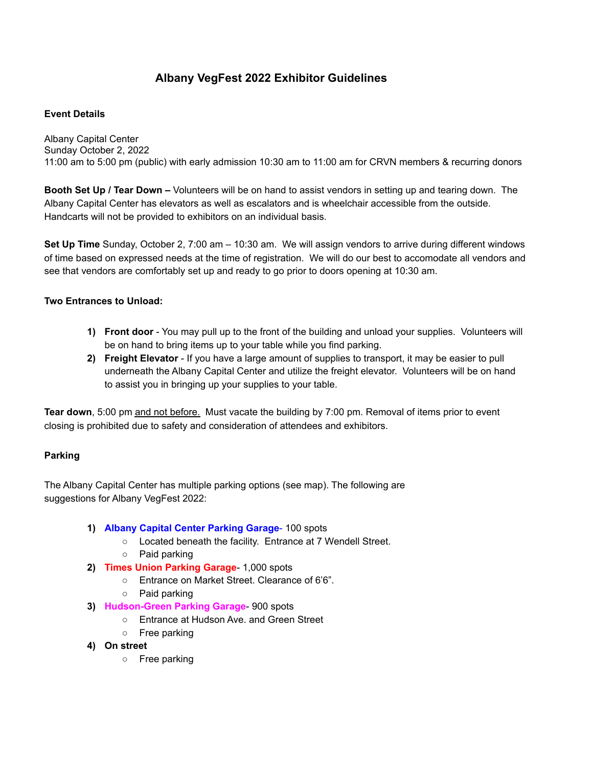# **Albany VegFest 2022 Exhibitor Guidelines**

### **Event Details**

Albany Capital Center Sunday October 2, 2022 11:00 am to 5:00 pm (public) with early admission 10:30 am to 11:00 am for CRVN members & recurring donors

**Booth Set Up / Tear Down –** Volunteers will be on hand to assist vendors in setting up and tearing down. The Albany Capital Center has elevators as well as escalators and is wheelchair accessible from the outside. Handcarts will not be provided to exhibitors on an individual basis.

**Set Up Time** Sunday, October 2, 7:00 am – 10:30 am. We will assign vendors to arrive during different windows of time based on expressed needs at the time of registration. We will do our best to accomodate all vendors and see that vendors are comfortably set up and ready to go prior to doors opening at 10:30 am.

### **Two Entrances to Unload:**

- **1) Front door** You may pull up to the front of the building and unload your supplies. Volunteers will be on hand to bring items up to your table while you find parking.
- **2) Freight Elevator** If you have a large amount of supplies to transport, it may be easier to pull underneath the Albany Capital Center and utilize the freight elevator. Volunteers will be on hand to assist you in bringing up your supplies to your table.

**Tear down**, 5:00 pm and not before. Must vacate the building by 7:00 pm. Removal of items prior to event closing is prohibited due to safety and consideration of attendees and exhibitors.

#### **Parking**

The Albany Capital Center has multiple parking options (see map). The following are suggestions for Albany VegFest 2022:

- **1) Albany Capital Center Parking Garage** 100 spots
	- Located beneath the facility. Entrance at 7 Wendell Street.
	- Paid parking
- **2) Times Union Parking Garage** 1,000 spots
	- **○** Entrance on Market Street. Clearance of 6'6".
	- Paid parking
- **3) Hudson-Green Parking Garage** 900 spots
	- Entrance at Hudson Ave. and Green Street
	- Free parking
- **4) On street**
	- **○** Free parking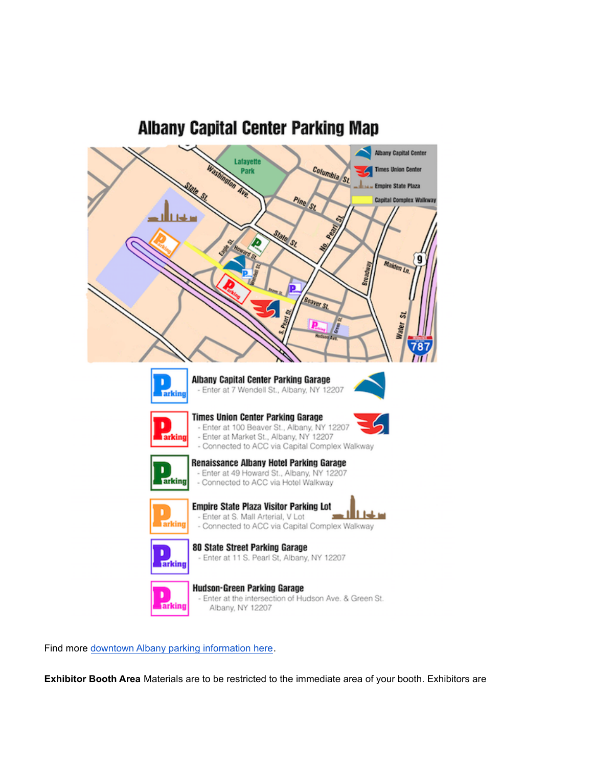



Find more downtown Albany parking [information](https://www.downtownalbany.org/parking) here.

**Exhibitor Booth Area** Materials are to be restricted to the immediate area of your booth. Exhibitors are